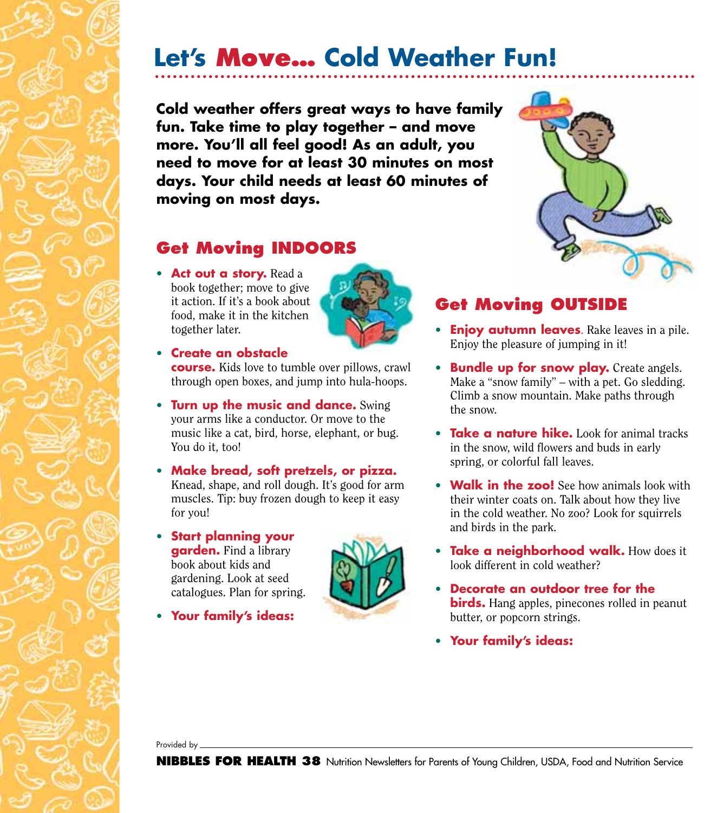# **Let's Move… Cold Weather Fun!**

**Cold weather offers great ways to have family fun. Take time to play together – and move more. You'll all feel good! As an adult, you need to move for at least 30 minutes on most days. Your child needs at least 60 minutes of moving on most days.**

### **Get Moving INDOORS**

• **Act out a story.** Read a book together; move to give it action. If it's a book about food, make it in the kitchen together later.



• **Create an obstacle**

**course.** Kids love to tumble over pillows, crawl through open boxes, and jump into hula-hoops.

- **Turn up the music and dance.** Swing your arms like a conductor. Or move to the music like a cat, bird, horse, elephant, or bug. You do it, too!
- **Make bread, soft pretzels, or pizza.** Knead, shape, and roll dough. It's good for arm muscles. Tip: buy frozen dough to keep it easy for you!
- **Start planning your garden.** Find a library book about kids and gardening. Look at seed catalogues. Plan for spring.
- **Your family's ideas:**





### **Get Moving OUTSIDE**

- **Enjoy autumn leaves**. Rake leaves in a pile. Enjoy the pleasure of jumping in it!
- **Bundle up for snow play.** Create angels. Make a "snow family" – with a pet. Go sledding. Climb a snow mountain. Make paths through the snow.
- **Take a nature hike.** Look for animal tracks in the snow, wild flowers and buds in early spring, or colorful fall leaves.
- **Walk in the zoo!** See how animals look with their winter coats on. Talk about how they live in the cold weather. No zoo? Look for squirrels and birds in the park.
- **Take a neighborhood walk.** How does it look different in cold weather?
- **Decorate an outdoor tree for the birds.** Hang apples, pinecones rolled in peanut butter, or popcorn strings.
- **Your family's ideas:**

Provided by